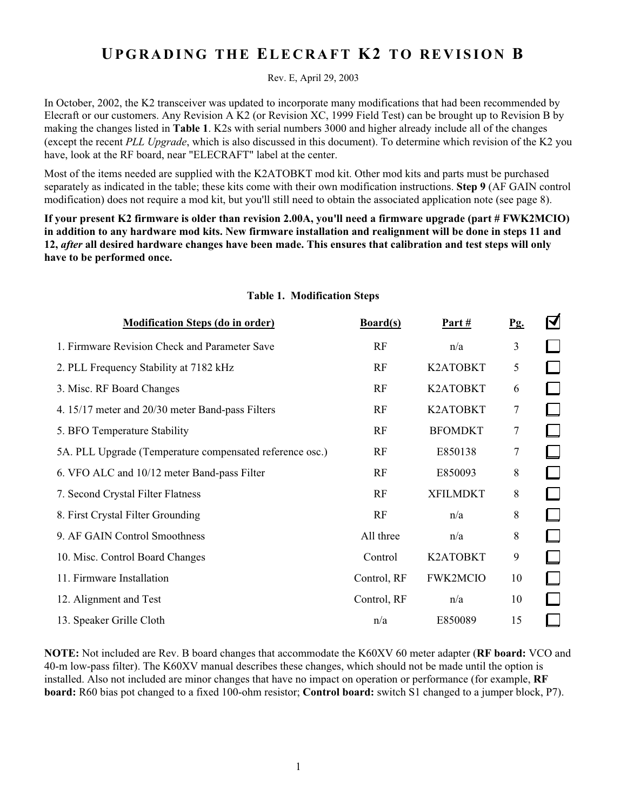# **UPGRADING THE ELECRAFT K2 TO REVISION B**

Rev. E, April 29, 2003

In October, 2002, the K2 transceiver was updated to incorporate many modifications that had been recommended by Elecraft or our customers. Any Revision A K2 (or Revision XC, 1999 Field Test) can be brought up to Revision B by making the changes listed in **Table 1**. K2s with serial numbers 3000 and higher already include all of the changes (except the recent *PLL Upgrade*, which is also discussed in this document). To determine which revision of the K2 you have, look at the RF board, near "ELECRAFT" label at the center.

Most of the items needed are supplied with the K2ATOBKT mod kit. Other mod kits and parts must be purchased separately as indicated in the table; these kits come with their own modification instructions. **Step 9** (AF GAIN control modification) does not require a mod kit, but you'll still need to obtain the associated application note (see page 8).

**If your present K2 firmware is older than revision 2.00A, you'll need a firmware upgrade (part # FWK2MCIO) in addition to any hardware mod kits. New firmware installation and realignment will be done in steps 11 and 12,** *after* **all desired hardware changes have been made. This ensures that calibration and test steps will only have to be performed once.**

| <b>Modification Steps (do in order)</b>                  | Board(s)    | Part#           | <u>Pg.</u> | $\boxtimes$              |
|----------------------------------------------------------|-------------|-----------------|------------|--------------------------|
| 1. Firmware Revision Check and Parameter Save            | RF          | n/a             | 3          |                          |
| 2. PLL Frequency Stability at 7182 kHz                   | RF          | K2ATOBKT        | 5          |                          |
| 3. Misc. RF Board Changes                                | RF          | K2ATOBKT        | 6          |                          |
| 4. 15/17 meter and 20/30 meter Band-pass Filters         | RF          | K2ATOBKT        | 7          |                          |
| 5. BFO Temperature Stability                             | RF          | <b>BFOMDKT</b>  | 7          |                          |
| 5A. PLL Upgrade (Temperature compensated reference osc.) | RF          | E850138         | 7          |                          |
| 6. VFO ALC and 10/12 meter Band-pass Filter              | RF          | E850093         | 8          |                          |
| 7. Second Crystal Filter Flatness                        | RF          | <b>XFILMDKT</b> | 8          |                          |
| 8. First Crystal Filter Grounding                        | RF          | n/a             | 8          |                          |
| 9. AF GAIN Control Smoothness                            | All three   | n/a             | 8          |                          |
| 10. Misc. Control Board Changes                          | Control     | K2ATOBKT        | 9          |                          |
| 11. Firmware Installation                                | Control, RF | <b>FWK2MCIO</b> | 10         | $\overline{\phantom{a}}$ |
| 12. Alignment and Test                                   | Control, RF | n/a             | 10         |                          |
| 13. Speaker Grille Cloth                                 | n/a         | E850089         | 15         |                          |

#### **Table 1. Modification Steps**

**NOTE:** Not included are Rev. B board changes that accommodate the K60XV 60 meter adapter (**RF board:** VCO and 40-m low-pass filter). The K60XV manual describes these changes, which should not be made until the option is installed. Also not included are minor changes that have no impact on operation or performance (for example, **RF board:** R60 bias pot changed to a fixed 100-ohm resistor; **Control board:** switch S1 changed to a jumper block, P7).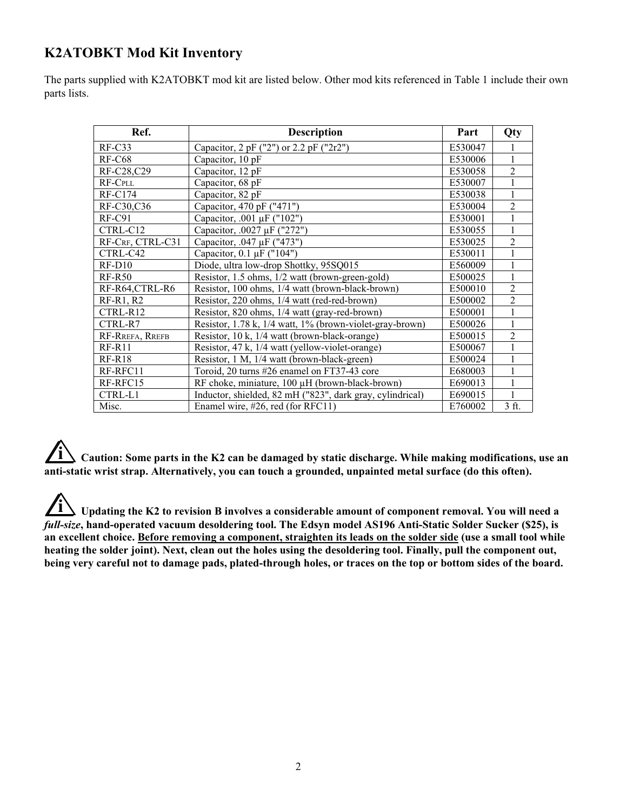# **K2ATOBKT Mod Kit Inventory**

The parts supplied with K2ATOBKT mod kit are listed below. Other mod kits referenced in Table 1 include their own parts lists.

| Ref.             | <b>Description</b>                                        | Part    | Qty            |
|------------------|-----------------------------------------------------------|---------|----------------|
| $RF-C33$         | Capacitor, 2 pF ("2") or 2.2 pF ("2r2")                   | E530047 |                |
| $RF-C68$         | Capacitor, 10 pF                                          | E530006 | 1              |
| RF-C28,C29       | Capacitor, 12 pF                                          | E530058 | $\overline{2}$ |
| RF-CPLL          | Capacitor, 68 pF                                          | E530007 |                |
| $RF-C174$        | Capacitor, 82 pF                                          | E530038 |                |
| RF-C30,C36       | Capacitor, 470 pF ("471")                                 | E530004 | $\overline{2}$ |
| $RF-C91$         | Capacitor, .001 μF ("102")                                | E530001 |                |
| CTRL-C12         | Capacitor, .0027 µF ("272")                               | E530055 |                |
| RF-CRF, CTRL-C31 | Capacitor, .047 µF ("473")                                | E530025 | $\overline{2}$ |
| CTRL-C42         | Capacitor, $0.1 \mu$ F ("104")                            | E530011 |                |
| $RF-D10$         | Diode, ultra low-drop Shottky, 95SQ015                    | E560009 |                |
| $RF-R50$         | Resistor, 1.5 ohms, 1/2 watt (brown-green-gold)           | E500025 |                |
| RF-R64,CTRL-R6   | Resistor, 100 ohms, 1/4 watt (brown-black-brown)          | E500010 | $\overline{2}$ |
| $RF-R1, R2$      | Resistor, 220 ohms, 1/4 watt (red-red-brown)              | E500002 | $\mathfrak{D}$ |
| CTRL-R12         | Resistor, 820 ohms, 1/4 watt (gray-red-brown)             | E500001 | 1              |
| CTRL-R7          | Resistor, 1.78 k, 1/4 watt, 1% (brown-violet-gray-brown)  | E500026 | 1              |
| RF-RREFA, RREFB  | Resistor, 10 k, 1/4 watt (brown-black-orange)             | E500015 | $\overline{2}$ |
| $RF-R11$         | Resistor, 47 k, 1/4 watt (yellow-violet-orange)           | E500067 |                |
| $RF-R18$         | Resistor, 1 M, 1/4 watt (brown-black-green)               | E500024 |                |
| RF-RFC11         | Toroid, 20 turns #26 enamel on FT37-43 core               | E680003 | $\mathbf{1}$   |
| RF-RFC15         | RF choke, miniature, 100 µH (brown-black-brown)           | E690013 |                |
| CTRL-L1          | Inductor, shielded, 82 mH ("823", dark gray, cylindrical) | E690015 |                |
| Misc.            | Enamel wire, #26, red (for RFC11)                         | E760002 | 3 ft.          |

**i Caution: Some parts in the K2 can be damaged by static discharge. While making modifications, use an anti-static wrist strap. Alternatively, you can touch a grounded, unpainted metal surface (do this often).**

**i Updating the K2 to revision B involves a considerable amount of component removal. You will need a** *full-size***, hand-operated vacuum desoldering tool. The Edsyn model AS196 Anti-Static Solder Sucker (\$25), is an excellent choice. Before removing a component, straighten its leads on the solder side (use a small tool while heating the solder joint). Next, clean out the holes using the desoldering tool. Finally, pull the component out, being very careful not to damage pads, plated-through holes, or traces on the top or bottom sides of the board.**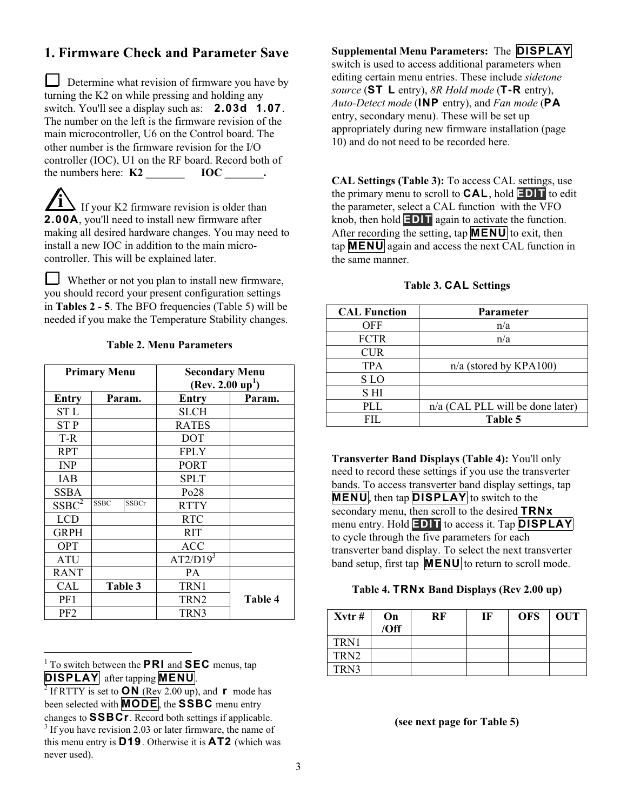# **1. Firmware Check and Parameter Save**

Determine what revision of firmware you have by turning the K2 on while pressing and holding any switch. You'll see a display such as: **2.03d 1.07**. The number on the left is the firmware revision of the main microcontroller, U6 on the Control board. The other number is the firmware revision for the I/O controller (IOC), U1 on the RF board. Record both of the numbers here: **K2 IOC** .

**If your K2 firmware revision is older than 2 . 0 0 A** , you'll need to install new firmware after making all desired hardware changes. You may need to install a new IOC in addition to the main microcontroller. This will be explained later.

 Whether or not you plan to install new firmware, you should record your present configuration settings in **Tables 2 - 5**. The BFO frequencies (Table 5) will be needed if you make the Temperature Stability changes.

|                   | <b>Primary Menu</b>         | <b>Secondary Menu</b><br>(Rev. 2.00 up <sup>1</sup> ) |         |
|-------------------|-----------------------------|-------------------------------------------------------|---------|
| Entry             | Param.                      | <b>Entry</b>                                          | Param.  |
| ST L              |                             | <b>SLCH</b>                                           |         |
| <b>STP</b>        |                             | <b>RATES</b>                                          |         |
| T-R               |                             | <b>DOT</b>                                            |         |
| <b>RPT</b>        |                             | <b>FPLY</b>                                           |         |
| <b>INP</b>        |                             | <b>PORT</b>                                           |         |
| <b>IAB</b>        |                             | <b>SPLT</b>                                           |         |
| <b>SSBA</b>       |                             | Po28                                                  |         |
| SSBC <sup>2</sup> | <b>SSBCr</b><br><b>SSBC</b> | <b>RTTY</b>                                           |         |
| <b>LCD</b>        |                             | <b>RTC</b>                                            |         |
| <b>GRPH</b>       |                             | <b>RIT</b>                                            |         |
| <b>OPT</b>        |                             | <b>ACC</b>                                            |         |
| ATU               |                             | $AT2/D19^3$                                           |         |
| <b>RANT</b>       |                             | <b>PA</b>                                             |         |
| CAL               | Table 3                     | TRN1                                                  |         |
| PF1               |                             | TRN <sub>2</sub>                                      | Table 4 |
| PF <sub>2</sub>   |                             | TRN3                                                  |         |

#### **Table 2. Menu Parameters**

<sup>1</sup> To switch between the **PRI** and **SEC** menus, tap **DISPLAY** after tapping **MENU**.

 $\overline{a}$ 

#### **Supplemental Menu Parameters: The DISPLAY**

switch is used to access additional parameters when editing certain menu entries. These include *sidetone source* (**S T L** entry), *8R Hold mode* (**T - R** entry), *Auto-Detect mode* (**I N P** entry), and *Fan mode* (**P A**  entry, secondary menu). These will be set up appropriately during new firmware installation (page 10) and do not need to be recorded here.

**CAL Settings (Table 3):** To access CAL settings, use the primary menu to scroll to **C A L** , hold **E D I T** to edit the parameter, select a CAL function with the VFO knob, then hold **EDIT** again to activate the function. After recording the setting, tap **MENU** to exit, then tap **M E N U** again and access the next CAL function in the same manner.

#### **Table 3. CAL Settings**

| <b>CAL Function</b> | <b>Parameter</b>                 |
|---------------------|----------------------------------|
| <b>OFF</b>          | n/a                              |
| <b>FCTR</b>         | n/a                              |
| <b>CUR</b>          |                                  |
| <b>TPA</b>          | $n/a$ (stored by KPA100)         |
| S LO                |                                  |
| S HI                |                                  |
| <b>PLL</b>          | n/a (CAL PLL will be done later) |
| FIL.                | Table 5                          |

**Transverter Band Displays (Table 4):** You'll only need to record these settings if you use the transverter bands. To access transverter band display settings, tap **MENU**, then tap **DISPLAY** to switch to the secondary menu, then scroll to the desired **TRNx** menu entry. Hold **EDIT** to access it. Tap **DISPLAY** to cycle through the five parameters for each transverter band display. To select the next transverter band setup, first tap **MENU** to return to scroll mode.

#### **Table 4. T R N x Band Displays (Rev 2.00 up)**

| $Xvtr$ # | On<br>/Off | RF | IF | <b>OFS</b> | <b>OUT</b> |
|----------|------------|----|----|------------|------------|
| TRN1     |            |    |    |            |            |
| TRN2     |            |    |    |            |            |
| TRN3     |            |    |    |            |            |

#### **(see next page for Table 5)**

<sup>2</sup> If RTTY is set to **O N** (Rev 2.00 up), and **r** mode has been selected with **MODE**, the **SSBC** menu entry changes to **SSBCr**. Record both settings if applicable.  $3$  If you have revision 2.03 or later firmware, the name of this menu entry is **D 1 9** . Otherwise it is **A T 2** (which was never used).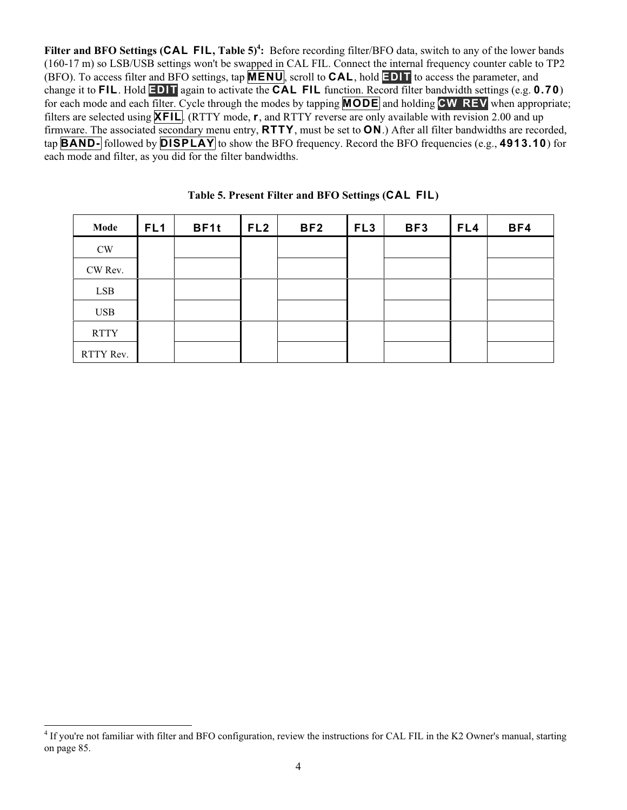Filter and BFO Settings (CAL FIL, Table 5)<sup>4</sup>: Before recording filter/BFO data, switch to any of the lower bands (160-17 m) so LSB/USB settings won't be swapped in CAL FIL. Connect the internal frequency counter cable to TP2 (BFO). To access filter and BFO settings, tap **M E N U** , scroll to **C A L** , hold **E D I T** to access the parameter, and change it to **FIL**. Hold **EDIT** again to activate the **CAL FIL** function. Record filter bandwidth settings (e.g. **0.70**) for each mode and each filter. Cycle through the modes by tapping **MODE** and holding **CW REV** when appropriate; filters are selected using **XFIL**. (RTTY mode, **r**, and RTTY reverse are only available with revision 2.00 and up firmware. The associated secondary menu entry, **R T T Y** , must be set to **O N** .) After all filter bandwidths are recorded, tap **B A N D -** followed by **D I S P L A Y** to show the BFO frequency. Record the BFO frequencies (e.g., **4 9 1 3 . 1 0** ) for each mode and filter, as you did for the filter bandwidths.

| Mode          | FL <sub>1</sub> | BF1t | FL <sub>2</sub> | BF <sub>2</sub> | FL <sub>3</sub> | BF3 | FL4 | BF4 |
|---------------|-----------------|------|-----------------|-----------------|-----------------|-----|-----|-----|
| $\mathrm{CW}$ |                 |      |                 |                 |                 |     |     |     |
| CW Rev.       |                 |      |                 |                 |                 |     |     |     |
| <b>LSB</b>    |                 |      |                 |                 |                 |     |     |     |
| <b>USB</b>    |                 |      |                 |                 |                 |     |     |     |
| <b>RTTY</b>   |                 |      |                 |                 |                 |     |     |     |
| RTTY Rev.     |                 |      |                 |                 |                 |     |     |     |

|  |  | Table 5. Present Filter and BFO Settings (CAL FIL) |  |
|--|--|----------------------------------------------------|--|
|  |  |                                                    |  |

<sup>&</sup>lt;sup>4</sup> If you're not familiar with filter and BFO configuration, review the instructions for CAL FIL in the K2 Owner's manual, starting on page 85.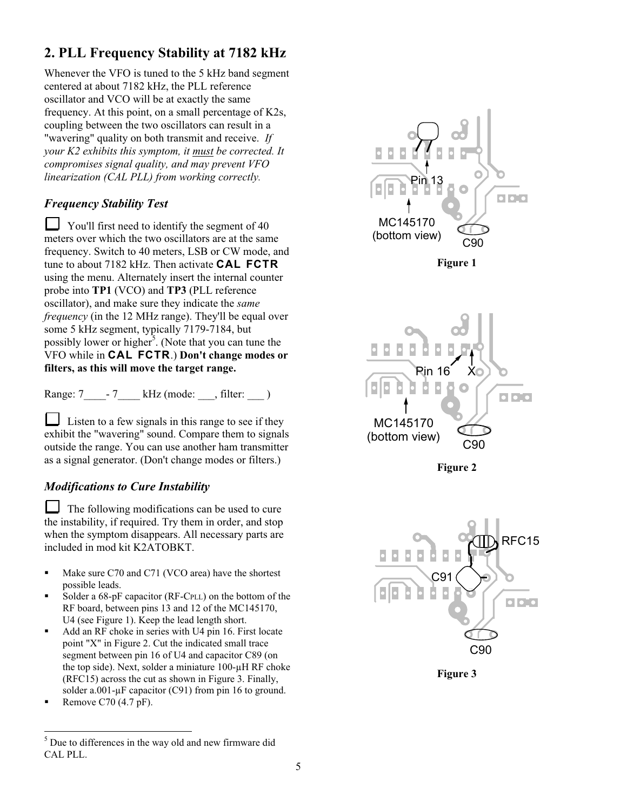# **2. PLL Frequency Stability at 7182 kHz**

Whenever the VFO is tuned to the 5 kHz band segment centered at about 7182 kHz, the PLL reference oscillator and VCO will be at exactly the same frequency. At this point, on a small percentage of K2s, coupling between the two oscillators can result in a "wavering" quality on both transmit and receive. *If your K2 exhibits this symptom, it must be corrected. It compromises signal quality, and may prevent VFO linearization (CAL PLL) from working correctly.*

### *Frequency Stability Test*

 You'll first need to identify the segment of 40 meters over which the two oscillators are at the same frequency. Switch to 40 meters, LSB or CW mode, and tune to about 7182 kHz. Then activate **CAL FCTR** using the menu. Alternately insert the internal counter probe into **TP1** (VCO) and **TP3** (PLL reference oscillator), and make sure they indicate the *same frequency* (in the 12 MHz range). They'll be equal over some 5 kHz segment, typically 7179-7184, but possibly lower or higher<sup>5</sup>. (Note that you can tune the VFO while in **C A L F C T R** .) **Don't change modes or filters, as this will move the target range.**

Range:  $7 \t -7$  kHz (mode: , filter: )

 Listen to a few signals in this range to see if they exhibit the "wavering" sound. Compare them to signals outside the range. You can use another ham transmitter as a signal generator. (Don't change modes or filters.)

### *Modifications to Cure Instability*

 The following modifications can be used to cure the instability, if required. Try them in order, and stop when the symptom disappears. All necessary parts are included in mod kit K2ATOBKT.

- Make sure C70 and C71 (VCO area) have the shortest possible leads.
- Solder a 68-pF capacitor (RF-CPLL) on the bottom of the RF board, between pins 13 and 12 of the MC145170, U4 (see Figure 1). Keep the lead length short.
- Add an RF choke in series with U4 pin 16. First locate point "X" in Figure 2. Cut the indicated small trace segment between pin 16 of U4 and capacitor C89 (on the top side). Next, solder a miniature 100-µH RF choke (RFC15) across the cut as shown in Figure 3. Finally, solder a.001- $\mu$ F capacitor (C91) from pin 16 to ground.
- Remove C70 (4.7 pF).



**Figure 1**







**Figure 3**

 5 Due to differences in the way old and new firmware did CAL PLL.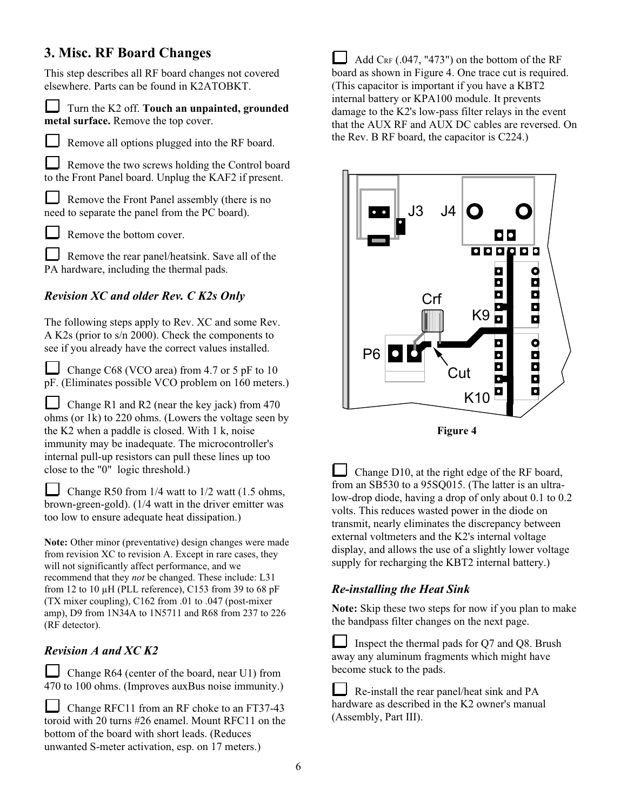# **3. Misc. RF Board Changes**

This step describes all RF board changes not covered elsewhere. Parts can be found in K2ATOBKT.

 Turn the K2 off. **Touch an unpainted, grounded metal surface.** Remove the top cover.

Remove all options plugged into the RF board.

Remove the two screws holding the Control board to the Front Panel board. Unplug the KAF2 if present.

 Remove the Front Panel assembly (there is no need to separate the panel from the PC board).



Remove the bottom cover.

Remove the rear panel/heatsink. Save all of the PA hardware, including the thermal pads.

# *Revision XC and older Rev. C K2s Only*

The following steps apply to Rev. XC and some Rev. A K2s (prior to s/n 2000). Check the components to see if you already have the correct values installed.

Change C68 (VCO area) from 4.7 or 5 pF to 10 pF. (Eliminates possible VCO problem on 160 meters.)

Change R1 and R2 (near the key jack) from  $470$ ohms (or 1k) to 220 ohms. (Lowers the voltage seen by the K2 when a paddle is closed. With 1 k, noise immunity may be inadequate. The microcontroller's internal pull-up resistors can pull these lines up too close to the "0" logic threshold.)

Change R50 from  $1/4$  watt to  $1/2$  watt (1.5 ohms, brown-green-gold). (1/4 watt in the driver emitter was too low to ensure adequate heat dissipation.)

**Note:** Other minor (preventative) design changes were made from revision XC to revision A. Except in rare cases, they will not significantly affect performance, and we recommend that they *not* be changed. These include: L31 from 12 to 10  $\mu$ H (PLL reference), C153 from 39 to 68 pF (TX mixer coupling), C162 from .01 to .047 (post-mixer amp), D9 from 1N34A to 1N5711 and R68 from 237 to 226 (RF detector).

### *Revision A and XC K2*

 Change R64 (center of the board, near U1) from 470 to 100 ohms. (Improves auxBus noise immunity.)

Change RFC11 from an RF choke to an FT37-43 toroid with 20 turns #26 enamel. Mount RFC11 on the bottom of the board with short leads. (Reduces unwanted S-meter activation, esp. on 17 meters.)

 Add CRF (.047, "473") on the bottom of the RF board as shown in Figure 4. One trace cut is required. (This capacitor is important if you have a KBT2 internal battery or KPA100 module. It prevents damage to the K2's low-pass filter relays in the event that the AUX RF and AUX DC cables are reversed. On the Rev. B RF board, the capacitor is C224.)



**Figure 4**

 Change D10, at the right edge of the RF board, from an SB530 to a 95SQ015. (The latter is an ultralow-drop diode, having a drop of only about 0.1 to 0.2 volts. This reduces wasted power in the diode on transmit, nearly eliminates the discrepancy between external voltmeters and the K2's internal voltage display, and allows the use of a slightly lower voltage supply for recharging the KBT2 internal battery.)

# *Re-installing the Heat Sink*

**Note:** Skip these two steps for now if you plan to make the bandpass filter changes on the next page.

 Inspect the thermal pads for Q7 and Q8. Brush away any aluminum fragments which might have become stuck to the pads.

 Re-install the rear panel/heat sink and PA hardware as described in the K2 owner's manual (Assembly, Part III).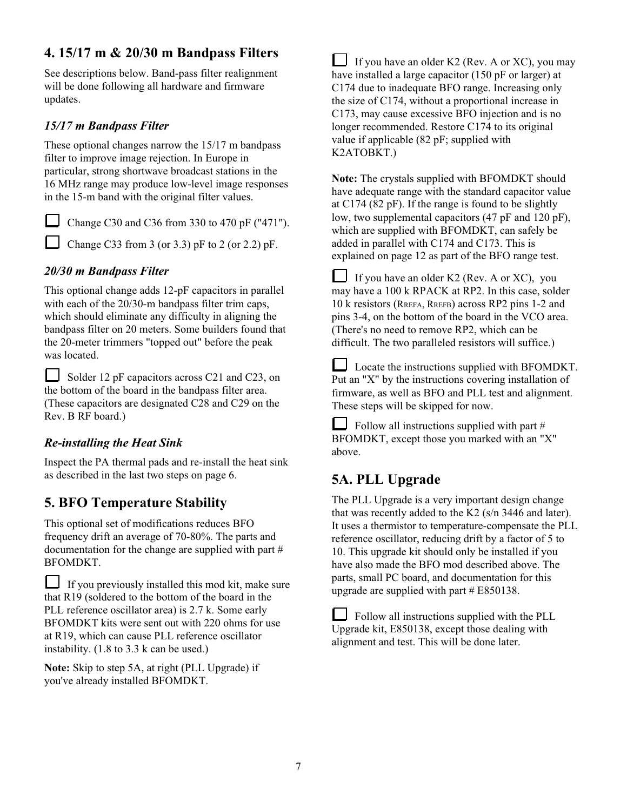# **4. 15/17 m & 20/30 m Bandpass Filters**

See descriptions below. Band-pass filter realignment will be done following all hardware and firmware updates.

## *15/17 m Bandpass Filter*

These optional changes narrow the 15/17 m bandpass filter to improve image rejection. In Europe in particular, strong shortwave broadcast stations in the 16 MHz range may produce low-level image responses in the 15-m band with the original filter values.

Change C30 and C36 from 330 to 470 pF ("471").

Change C33 from 3 (or 3.3) pF to 2 (or 2.2) pF.

### *20/30 m Bandpass Filter*

This optional change adds 12-pF capacitors in parallel with each of the 20/30-m bandpass filter trim caps, which should eliminate any difficulty in aligning the bandpass filter on 20 meters. Some builders found that the 20-meter trimmers "topped out" before the peak was located.

Solder 12 pF capacitors across C21 and C23, on the bottom of the board in the bandpass filter area. (These capacitors are designated C28 and C29 on the Rev. B RF board.)

### *Re-installing the Heat Sink*

Inspect the PA thermal pads and re-install the heat sink as described in the last two steps on page 6.

# **5. BFO Temperature Stability**

This optional set of modifications reduces BFO frequency drift an average of 70-80%. The parts and documentation for the change are supplied with part # BFOMDKT.

 $\Box$  If you previously installed this mod kit, make sure that R19 (soldered to the bottom of the board in the PLL reference oscillator area) is 2.7 k. Some early BFOMDKT kits were sent out with 220 ohms for use at R19, which can cause PLL reference oscillator instability. (1.8 to 3.3 k can be used.)

**Note:** Skip to step 5A, at right (PLL Upgrade) if you've already installed BFOMDKT.

If you have an older K2 (Rev. A or XC), you may have installed a large capacitor (150 pF or larger) at C174 due to inadequate BFO range. Increasing only the size of C174, without a proportional increase in C173, may cause excessive BFO injection and is no longer recommended. Restore C174 to its original value if applicable (82 pF; supplied with K2ATOBKT.)

**Note:** The crystals supplied with BFOMDKT should have adequate range with the standard capacitor value at C174 (82 pF). If the range is found to be slightly low, two supplemental capacitors (47 pF and 120 pF), which are supplied with BFOMDKT, can safely be added in parallel with C174 and C173. This is explained on page 12 as part of the BFO range test.

⊔ If you have an older K2 (Rev. A or XC), you may have a 100 k RPACK at RP2. In this case, solder 10 k resistors (RREFA, RREFB) across RP2 pins 1-2 and pins 3-4, on the bottom of the board in the VCO area. (There's no need to remove RP2, which can be difficult. The two paralleled resistors will suffice.)

ப Locate the instructions supplied with BFOMDKT. Put an "X" by the instructions covering installation of firmware, as well as BFO and PLL test and alignment. These steps will be skipped for now.

Follow all instructions supplied with part # BFOMDKT, except those you marked with an "X" above.

# **5A. PLL Upgrade**

The PLL Upgrade is a very important design change that was recently added to the K2 (s/n 3446 and later). It uses a thermistor to temperature-compensate the PLL reference oscillator, reducing drift by a factor of 5 to 10. This upgrade kit should only be installed if you have also made the BFO mod described above. The parts, small PC board, and documentation for this upgrade are supplied with part  $# E850138$ .

 Follow all instructions supplied with the PLL Upgrade kit, E850138, except those dealing with alignment and test. This will be done later.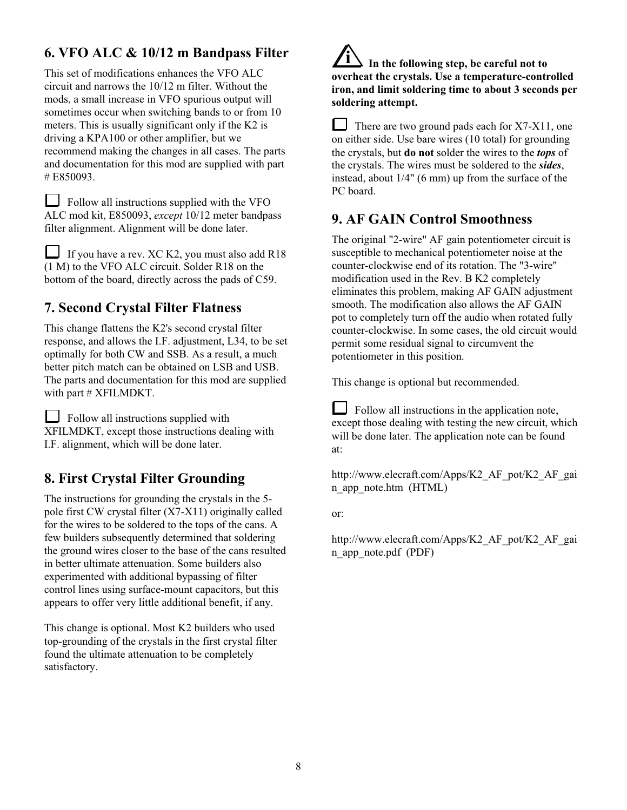# **6. VFO ALC & 10/12 m Bandpass Filter**

This set of modifications enhances the VFO ALC circuit and narrows the 10/12 m filter. Without the mods, a small increase in VFO spurious output will sometimes occur when switching bands to or from 10 meters. This is usually significant only if the K2 is driving a KPA100 or other amplifier, but we recommend making the changes in all cases. The parts and documentation for this mod are supplied with part # E850093.

Follow all instructions supplied with the VFO ALC mod kit, E850093, *except* 10/12 meter bandpass filter alignment. Alignment will be done later.

If you have a rev. XC K2, you must also add  $R18$ (1 M) to the VFO ALC circuit. Solder R18 on the bottom of the board, directly across the pads of C59.

# **7. Second Crystal Filter Flatness**

This change flattens the K2's second crystal filter response, and allows the I.F. adjustment, L34, to be set optimally for both CW and SSB. As a result, a much better pitch match can be obtained on LSB and USB. The parts and documentation for this mod are supplied with part # XFILMDKT.

Follow all instructions supplied with XFILMDKT, except those instructions dealing with I.F. alignment, which will be done later.

# **8. First Crystal Filter Grounding**

The instructions for grounding the crystals in the 5 pole first CW crystal filter (X7-X11) originally called for the wires to be soldered to the tops of the cans. A few builders subsequently determined that soldering the ground wires closer to the base of the cans resulted in better ultimate attenuation. Some builders also experimented with additional bypassing of filter control lines using surface-mount capacitors, but this appears to offer very little additional benefit, if any.

This change is optional. Most K2 builders who used top-grounding of the crystals in the first crystal filter found the ultimate attenuation to be completely satisfactory.

# **i In the following step, be careful not to overheat the crystals. Use a temperature-controlled iron, and limit soldering time to about 3 seconds per soldering attempt.**

 There are two ground pads each for X7-X11, one on either side. Use bare wires (10 total) for grounding the crystals, but **do not** solder the wires to the *tops* of the crystals. The wires must be soldered to the *sides*, instead, about 1/4" (6 mm) up from the surface of the PC board.

# **9. AF GAIN Control Smoothness**

The original "2-wire" AF gain potentiometer circuit is susceptible to mechanical potentiometer noise at the counter-clockwise end of its rotation. The "3-wire" modification used in the Rev. B K2 completely eliminates this problem, making AF GAIN adjustment smooth. The modification also allows the AF GAIN pot to completely turn off the audio when rotated fully counter-clockwise. In some cases, the old circuit would permit some residual signal to circumvent the potentiometer in this position.

This change is optional but recommended.

 $\Box$  Follow all instructions in the application note, except those dealing with testing the new circuit, which will be done later. The application note can be found at:

http://www.elecraft.com/Apps/K2 AF pot/K2 AF gai n\_app\_note.htm (HTML)

or:

http://www.elecraft.com/Apps/K2\_AF\_pot/K2\_AF\_gai n\_app\_note.pdf (PDF)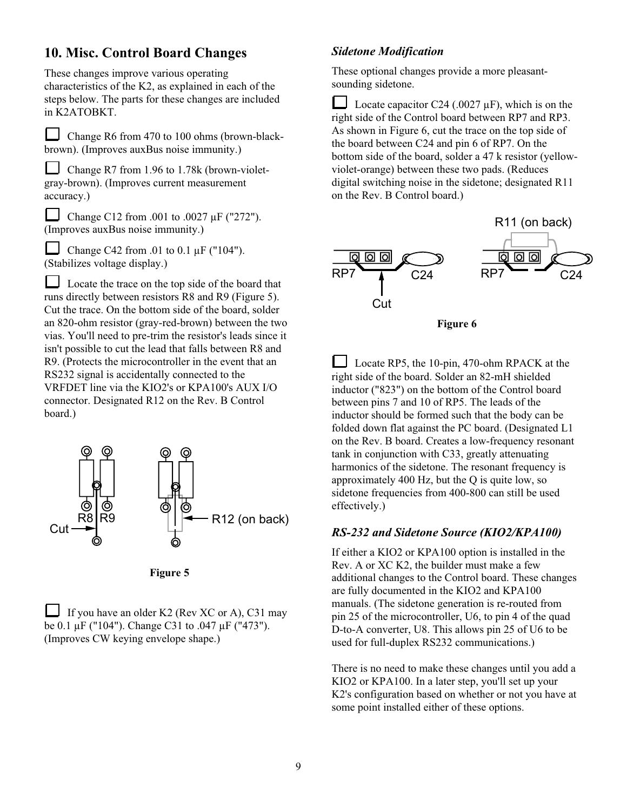# **10. Misc. Control Board Changes**

These changes improve various operating characteristics of the K2, as explained in each of the steps below. The parts for these changes are included in K2ATOBKT.

 Change R6 from 470 to 100 ohms (brown-blackbrown). (Improves auxBus noise immunity.)

Change R7 from 1.96 to 1.78k (brown-violetgray-brown). (Improves current measurement accuracy.)

 Change C12 from .001 to .0027 µF ("272"). (Improves auxBus noise immunity.)

Change C42 from .01 to 0.1  $\mu$ F ("104"). (Stabilizes voltage display.)

 Locate the trace on the top side of the board that runs directly between resistors R8 and R9 (Figure 5). Cut the trace. On the bottom side of the board, solder an 820-ohm resistor (gray-red-brown) between the two vias. You'll need to pre-trim the resistor's leads since it isn't possible to cut the lead that falls between R8 and R9. (Protects the microcontroller in the event that an RS232 signal is accidentally connected to the VRFDET line via the KIO2's or KPA100's AUX I/O connector. Designated R12 on the Rev. B Control board.)



**Figure 5**

If you have an older K2 (Rev XC or A), C31 may be 0.1 µF ("104"). Change C31 to .047 µF ("473"). (Improves CW keying envelope shape.)

#### *Sidetone Modification*

These optional changes provide a more pleasantsounding sidetone.

Locate capacitor C24 (.0027  $\mu$ F), which is on the right side of the Control board between RP7 and RP3. As shown in Figure 6, cut the trace on the top side of the board between C24 and pin 6 of RP7. On the bottom side of the board, solder a 47 k resistor (yellowviolet-orange) between these two pads. (Reduces digital switching noise in the sidetone; designated R11 on the Rev. B Control board.)



**Figure 6**

 Locate RP5, the 10-pin, 470-ohm RPACK at the right side of the board. Solder an 82-mH shielded inductor ("823") on the bottom of the Control board between pins 7 and 10 of RP5. The leads of the inductor should be formed such that the body can be folded down flat against the PC board. (Designated L1 on the Rev. B board. Creates a low-frequency resonant tank in conjunction with C33, greatly attenuating harmonics of the sidetone. The resonant frequency is approximately 400 Hz, but the Q is quite low, so sidetone frequencies from 400-800 can still be used effectively.)

#### *RS-232 and Sidetone Source (KIO2/KPA100)*

If either a KIO2 or KPA100 option is installed in the Rev. A or XC K2, the builder must make a few additional changes to the Control board. These changes are fully documented in the KIO2 and KPA100 manuals. (The sidetone generation is re-routed from pin 25 of the microcontroller, U6, to pin 4 of the quad D-to-A converter, U8. This allows pin 25 of U6 to be used for full-duplex RS232 communications.)

There is no need to make these changes until you add a KIO2 or KPA100. In a later step, you'll set up your K2's configuration based on whether or not you have at some point installed either of these options.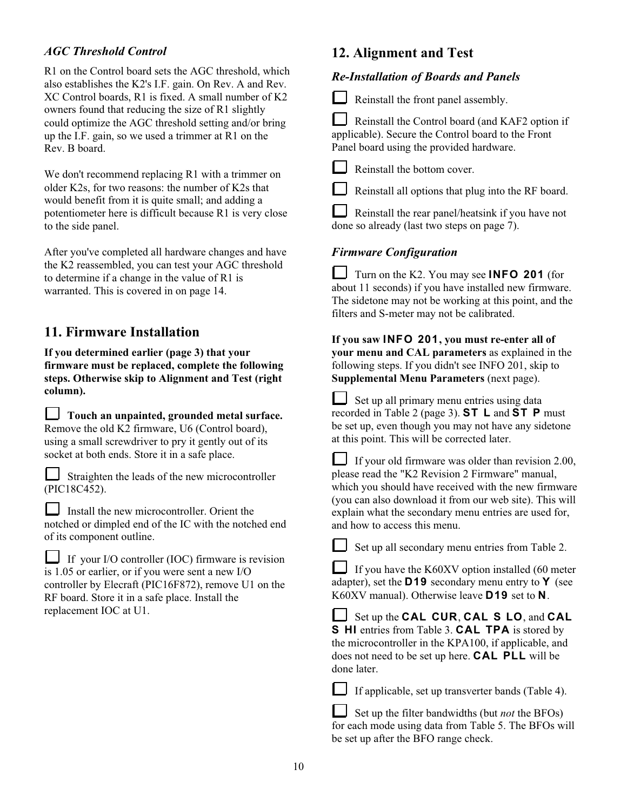#### *AGC Threshold Control*

R1 on the Control board sets the AGC threshold, which also establishes the K2's I.F. gain. On Rev. A and Rev. XC Control boards, R1 is fixed. A small number of K2 owners found that reducing the size of R1 slightly could optimize the AGC threshold setting and/or bring up the I.F. gain, so we used a trimmer at R1 on the Rev. B board.

We don't recommend replacing R1 with a trimmer on older K2s, for two reasons: the number of K2s that would benefit from it is quite small; and adding a potentiometer here is difficult because R1 is very close to the side panel.

After you've completed all hardware changes and have the K2 reassembled, you can test your AGC threshold to determine if a change in the value of R1 is warranted. This is covered in on page 14.

## **11. Firmware Installation**

**If you determined earlier (page 3) that your firmware must be replaced, complete the following steps. Otherwise skip to Alignment and Test (right column).**

**Touch an unpainted, grounded metal surface.** Remove the old K2 firmware, U6 (Control board), using a small screwdriver to pry it gently out of its socket at both ends. Store it in a safe place.

Straighten the leads of the new microcontroller (PIC18C452).

Install the new microcontroller. Orient the notched or dimpled end of the IC with the notched end of its component outline.

If your I/O controller (IOC) firmware is revision is 1.05 or earlier, or if you were sent a new I/O controller by Elecraft (PIC16F872), remove U1 on the RF board. Store it in a safe place. Install the replacement IOC at U1.

# **12. Alignment and Test**

#### *Re-Installation of Boards and Panels*

Reinstall the front panel assembly.

 Reinstall the Control board (and KAF2 option if applicable). Secure the Control board to the Front Panel board using the provided hardware.

Reinstall the bottom cover.

Reinstall all options that plug into the RF board.

 Reinstall the rear panel/heatsink if you have not done so already (last two steps on page 7).

#### *Firmware Configuration*

Turn on the K2. You may see **INFO 201** (for about 11 seconds) if you have installed new firmware. The sidetone may not be working at this point, and the filters and S-meter may not be calibrated.

**If you saw I N F O 2 0 1 , you must re-enter all of your menu and CAL parameters** as explained in the following steps. If you didn't see INFO 201, skip to **Supplemental Menu Parameters** (next page).

 Set up all primary menu entries using data recorded in Table 2 (page 3). **S T L** and **S T P** must be set up, even though you may not have any sidetone at this point. This will be corrected later.

 If your old firmware was older than revision 2.00, please read the "K2 Revision 2 Firmware" manual, which you should have received with the new firmware (you can also download it from our web site). This will explain what the secondary menu entries are used for, and how to access this menu.

Set up all secondary menu entries from Table 2.

 If you have the K60XV option installed (60 meter adapter), set the **D 1 9** secondary menu entry to **Y** (see K60XV manual). Otherwise leave **D 1 9** set to **N** .

Set up the **CAL CUR, CAL S LO**, and **CAL S HI** entries from Table 3. **CAL TPA** is stored by the microcontroller in the KPA100, if applicable, and does not need to be set up here. **CAL PLL** will be done later.

If applicable, set up transverter bands (Table 4).

Set up the filter bandwidths (but *not* the BFOs) for each mode using data from Table 5. The BFOs will be set up after the BFO range check.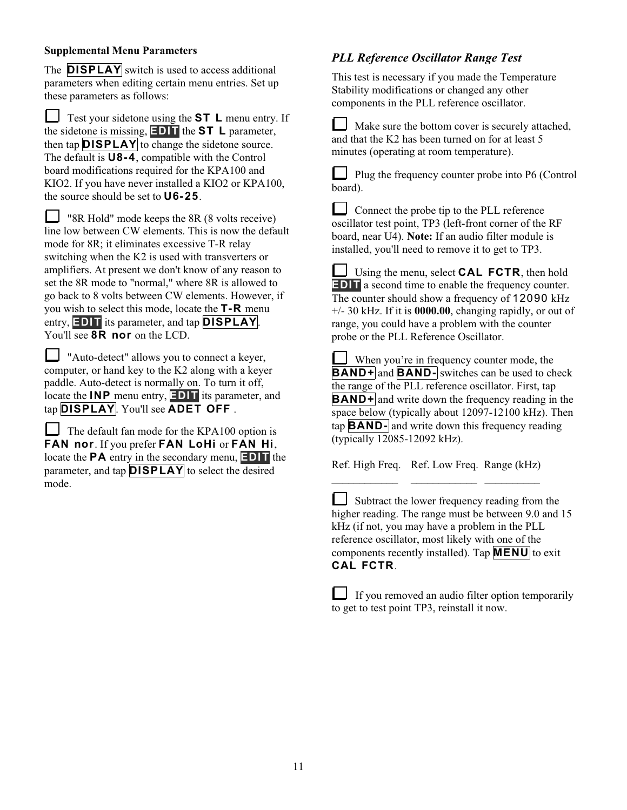#### **Supplemental Menu Parameters**

The **DISPLAY** switch is used to access additional parameters when editing certain menu entries. Set up these parameters as follows:

 Test your sidetone using the **S T L** menu entry. If the sidetone is missing, **E D I T** the **S T L** parameter, then tap **DISPLAY** to change the sidetone source. The default is **U 8 - 4** , compatible with the Control board modifications required for the KPA100 and KIO2. If you have never installed a KIO2 or KPA100, the source should be set to **U 6 - 2 5** .

 $\Box$  "8R Hold" mode keeps the 8R (8 volts receive) line low between CW elements. This is now the default mode for 8R; it eliminates excessive T-R relay switching when the K2 is used with transverters or amplifiers. At present we don't know of any reason to set the 8R mode to "normal," where 8R is allowed to go back to 8 volts between CW elements. However, if you wish to select this mode, locate the **T - R** menu entry, **EDIT** its parameter, and tap **DISPLAY**. You'll see **8R nor** on the LCD.

 "Auto-detect" allows you to connect a keyer, computer, or hand key to the K2 along with a keyer paddle. Auto-detect is normally on. To turn it off, locate the **INP** menu entry, **EDIT** its parameter, and tap **DISPLAY**. You'll see **ADET OFF**.

The default fan mode for the KPA100 option is FAN nor. If you prefer FAN LoHi or FAN Hi, locate the **PA** entry in the secondary menu, **EDIT** the parameter, and tap **DISPLAY** to select the desired mode.

### *PLL Reference Oscillator Range Test*

This test is necessary if you made the Temperature Stability modifications or changed any other components in the PLL reference oscillator.

 Make sure the bottom cover is securely attached, and that the K2 has been turned on for at least 5 minutes (operating at room temperature).

 Plug the frequency counter probe into P6 (Control board).

Connect the probe tip to the PLL reference oscillator test point, TP3 (left-front corner of the RF board, near U4). **Note:** If an audio filter module is installed, you'll need to remove it to get to TP3.

Using the menu, select **CAL FCTR**, then hold **EDIT** a second time to enable the frequency counter. The counter should show a frequency of  $12090$  kHz +/- 30 kHz. If it is **0000.00**, changing rapidly, or out of range, you could have a problem with the counter probe or the PLL Reference Oscillator.

 When you're in frequency counter mode, the **BAND+** and **BAND**- switches can be used to check the range of the PLL reference oscillator. First, tap **BAND+** and write down the frequency reading in the space below (typically about 12097-12100 kHz). Then tap **B A N D -** and write down this frequency reading (typically 12085-12092 kHz).

Ref. High Freq. Ref. Low Freq. Range (kHz) \_\_\_\_\_\_\_\_\_\_\_\_ \_\_\_\_\_\_\_\_\_\_\_\_ \_\_\_\_\_\_\_\_\_\_

Subtract the lower frequency reading from the higher reading. The range must be between 9.0 and 15 kHz (if not, you may have a problem in the PLL reference oscillator, most likely with one of the components recently installed). Tap **M E N U** to exit **CAL FCTR.** 

If you removed an audio filter option temporarily to get to test point TP3, reinstall it now.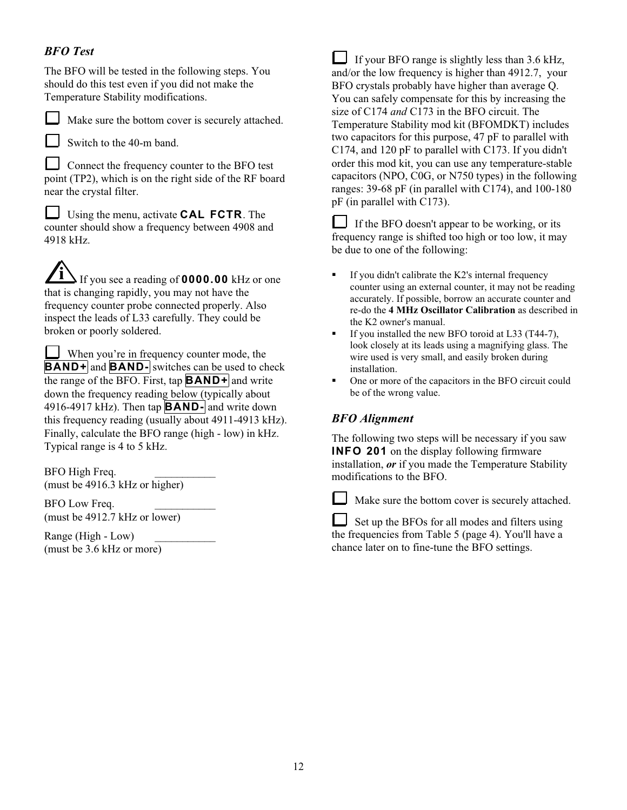### *BFO Test*

The BFO will be tested in the following steps. You should do this test even if you did not make the Temperature Stability modifications.



Make sure the bottom cover is securely attached.

 $\Box$  Switch to the 40-m band.

 Connect the frequency counter to the BFO test point (TP2), which is on the right side of the RF board near the crystal filter.

 Using the menu, activate **C A L F C T R** . The counter should show a frequency between 4908 and 4918 kHz.

**i** If you see a reading of **0000.00** kHz or one that is changing rapidly, you may not have the frequency counter probe connected properly. Also inspect the leads of L33 carefully. They could be broken or poorly soldered.

 When you're in frequency counter mode, the **BAND+** and **BAND**- switches can be used to check the range of the BFO. First, tap  $\mathbf{BAND}$  + and write down the frequency reading below (typically about 4916-4917 kHz). Then tap **B A N D -** and write down this frequency reading (usually about 4911-4913 kHz). Finally, calculate the BFO range (high - low) in kHz. Typical range is 4 to 5 kHz.

BFO High Freq. (must be 4916.3 kHz or higher)

BFO Low Freq. (must be 4912.7 kHz or lower)

Range (High - Low) \_\_\_\_\_\_\_\_\_\_\_ (must be 3.6 kHz or more)

 If your BFO range is slightly less than 3.6 kHz, and/or the low frequency is higher than 4912.7, your BFO crystals probably have higher than average Q. You can safely compensate for this by increasing the size of C174 *and* C173 in the BFO circuit. The Temperature Stability mod kit (BFOMDKT) includes two capacitors for this purpose, 47 pF to parallel with C174, and 120 pF to parallel with C173. If you didn't order this mod kit, you can use any temperature-stable capacitors (NPO, C0G, or N750 types) in the following ranges: 39-68 pF (in parallel with C174), and 100-180 pF (in parallel with C173).

 If the BFO doesn't appear to be working, or its frequency range is shifted too high or too low, it may be due to one of the following:

- $\blacksquare$  If you didn't calibrate the K2's internal frequency counter using an external counter, it may not be reading accurately. If possible, borrow an accurate counter and re-do the **4 MHz Oscillator Calibration** as described in the K2 owner's manual.
- If you installed the new BFO toroid at L33 (T44-7), look closely at its leads using a magnifying glass. The wire used is very small, and easily broken during installation.
- One or more of the capacitors in the BFO circuit could be of the wrong value.

# *BFO Alignment*

The following two steps will be necessary if you saw **INFO 201** on the display following firmware installation, *or* if you made the Temperature Stability modifications to the BFO.

Make sure the bottom cover is securely attached.

 $\Box$  Set up the BFOs for all modes and filters using the frequencies from Table 5 (page 4). You'll have a chance later on to fine-tune the BFO settings.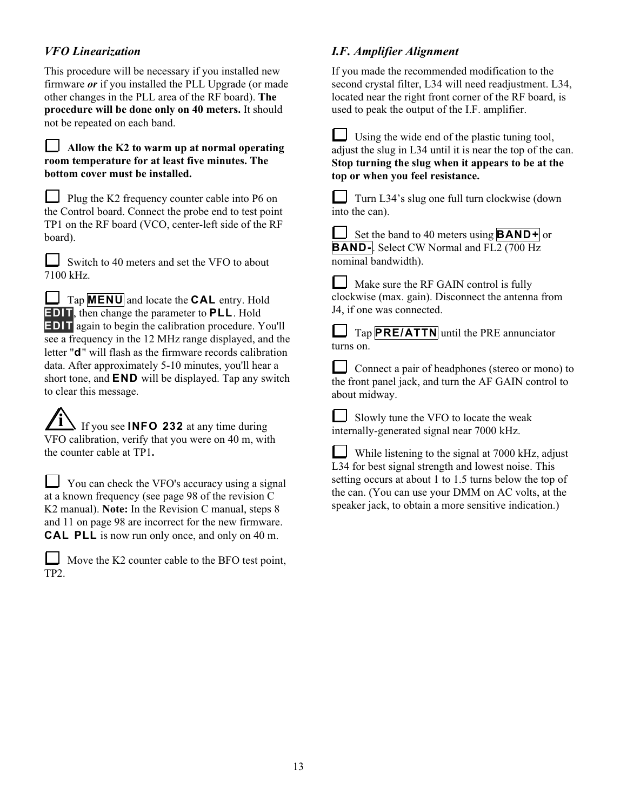### *VFO Linearization*

This procedure will be necessary if you installed new firmware *or* if you installed the PLL Upgrade (or made other changes in the PLL area of the RF board). **The procedure will be done only on 40 meters.** It should not be repeated on each band.

#### **Allow the K2 to warm up at normal operating room temperature for at least five minutes. The bottom cover must be installed.**

Plug the K2 frequency counter cable into P6 on the Control board. Connect the probe end to test point TP1 on the RF board (VCO, center-left side of the RF board).

Switch to 40 meters and set the VFO to about 7100 kHz.

Tap **MENU** and locate the **CAL** entry. Hold **EDIT**, then change the parameter to **PLL**. Hold **EDIT** again to begin the calibration procedure. You'll see a frequency in the 12 MHz range displayed, and the letter "**d** " will flash as the firmware records calibration data. After approximately 5-10 minutes, you'll hear a short tone, and **END** will be displayed. Tap any switch to clear this message.

**If you see <b>INFO** 232 at any time during VFO calibration, verify that you were on 40 m, with the counter cable at TP1**.**

 You can check the VFO's accuracy using a signal at a known frequency (see page 98 of the revision C K2 manual). **Note:** In the Revision C manual, steps 8 and 11 on page 98 are incorrect for the new firmware. **CAL PLL** is now run only once, and only on 40 m.

|      | Move the K2 counter cable to the BFO test point, |
|------|--------------------------------------------------|
| TP2. |                                                  |

# *I.F. Amplifier Alignment*

If you made the recommended modification to the second crystal filter, L34 will need readjustment. L34, located near the right front corner of the RF board, is used to peak the output of the I.F. amplifier.

 Using the wide end of the plastic tuning tool, adjust the slug in L34 until it is near the top of the can. **Stop turning the slug when it appears to be at the top or when you feel resistance.**

 Turn L34's slug one full turn clockwise (down into the can).

Set the band to 40 meters using **BAND+** or **BAND-**. Select CW Normal and FL<sub>2</sub> (700 Hz) nominal bandwidth).

I Make sure the RF GAIN control is fully clockwise (max. gain). Disconnect the antenna from J4, if one was connected.

Tap **PRE/ATTN** until the PRE annunciator turns on.

 Connect a pair of headphones (stereo or mono) to the front panel jack, and turn the AF GAIN control to about midway.

 Slowly tune the VFO to locate the weak internally-generated signal near 7000 kHz.

 $\Box$  While listening to the signal at 7000 kHz, adjust L34 for best signal strength and lowest noise. This setting occurs at about 1 to 1.5 turns below the top of the can. (You can use your DMM on AC volts, at the speaker jack, to obtain a more sensitive indication.)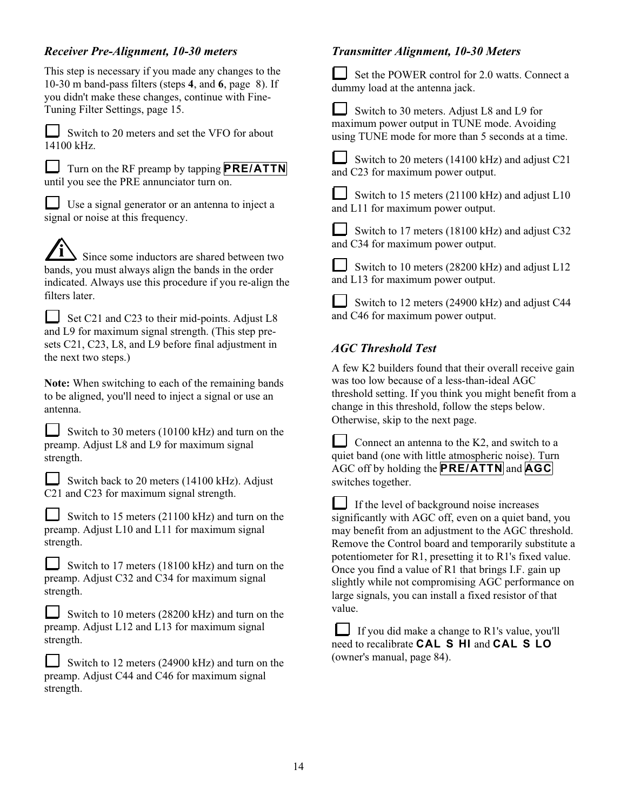### *Receiver Pre-Alignment, 10-30 meters*

This step is necessary if you made any changes to the 10-30 m band-pass filters (steps **4**, and **6**, page 8). If you didn't make these changes, continue with Fine-Tuning Filter Settings, page 15.



Switch to 20 meters and set the VFO for about 14100 kHz.

Turn on the RF preamp by tapping **PRE/ATTN** until you see the PRE annunciator turn on.

 Use a signal generator or an antenna to inject a signal or noise at this frequency.

**i** Since some inductors are shared between two bands, you must always align the bands in the order indicated. Always use this procedure if you re-align the filters later.

 $\Box$  Set C21 and C23 to their mid-points. Adjust L8 and L9 for maximum signal strength. (This step presets C21, C23, L8, and L9 before final adjustment in the next two steps.)

**Note:** When switching to each of the remaining bands to be aligned, you'll need to inject a signal or use an antenna.

| Switch to 30 meters (10100 kHz) and turn on the |
|-------------------------------------------------|
| preamp. Adjust L8 and L9 for maximum signal     |
| strength.                                       |

 Switch back to 20 meters (14100 kHz). Adjust C21 and C23 for maximum signal strength.

Switch to 15 meters  $(21100 \text{ kHz})$  and turn on the preamp. Adjust L10 and L11 for maximum signal strength.

|  |           | Switch to 17 meters (18100 kHz) and turn on the |  |  |  |  |
|--|-----------|-------------------------------------------------|--|--|--|--|
|  |           | preamp. Adjust C32 and C34 for maximum signal   |  |  |  |  |
|  | strength. |                                                 |  |  |  |  |

Switch to 10 meters (28200 kHz) and turn on the preamp. Adjust L12 and L13 for maximum signal strength.

Switch to 12 meters  $(24900 \text{ kHz})$  and turn on the preamp. Adjust C44 and C46 for maximum signal strength.

### *Transmitter Alignment, 10-30 Meters*

 Set the POWER control for 2.0 watts. Connect a dummy load at the antenna jack.

 $\Box$  Switch to 30 meters. Adjust L8 and L9 for maximum power output in TUNE mode. Avoiding using TUNE mode for more than 5 seconds at a time.



 Switch to 20 meters (14100 kHz) and adjust C21 and C23 for maximum power output.

|  |                                   |  |  |  | Switch to 15 meters (21100 kHz) and adjust $L10$ |  |  |
|--|-----------------------------------|--|--|--|--------------------------------------------------|--|--|
|  | and L11 for maximum power output. |  |  |  |                                                  |  |  |

Switch to 17 meters (18100 kHz) and adjust C32 and C34 for maximum power output.

| Switch to 10 meters (28200 kHz) and adjust $L12$ |
|--------------------------------------------------|
| and L13 for maximum power output.                |

 Switch to 12 meters (24900 kHz) and adjust C44 and C46 for maximum power output.

### *AGC Threshold Test*

A few K2 builders found that their overall receive gain was too low because of a less-than-ideal AGC threshold setting. If you think you might benefit from a change in this threshold, follow the steps below. Otherwise, skip to the next page.

Connect an antenna to the K2, and switch to a quiet band (one with little atmospheric noise). Turn AGC off by holding the **P R E / A T T N** and **A G C**  switches together.

 If the level of background noise increases significantly with AGC off, even on a quiet band, you may benefit from an adjustment to the AGC threshold. Remove the Control board and temporarily substitute a potentiometer for R1, presetting it to R1's fixed value. Once you find a value of R1 that brings I.F. gain up slightly while not compromising AGC performance on large signals, you can install a fixed resistor of that value.

 $\Box$  If you did make a change to R1's value, you'll need to recalibrate **CAL S HI** and **CAL S LO** (owner's manual, page 84).